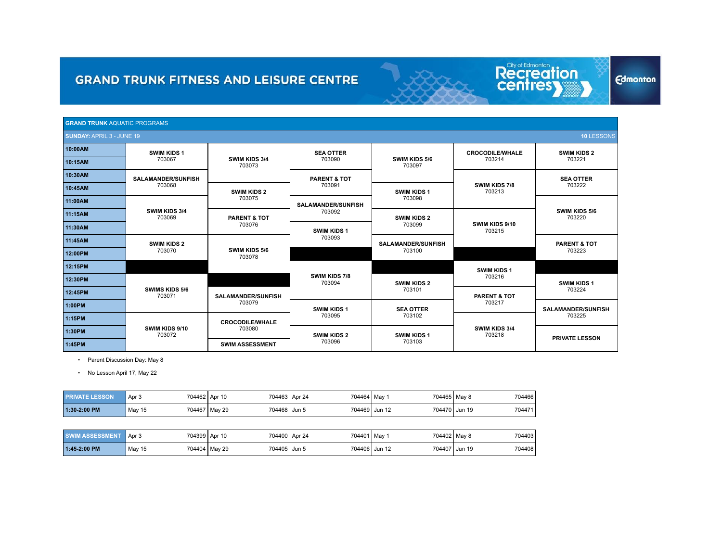| <b>GRAND TRUNK AQUATIC PROGRAMS</b> |                                 |                           |                                     |                           |                          |                           |
|-------------------------------------|---------------------------------|---------------------------|-------------------------------------|---------------------------|--------------------------|---------------------------|
| <b>SUNDAY: APRIL 3 - JUNE 19</b>    |                                 |                           |                                     |                           |                          | 10 LESSONS                |
| 10:00AM                             | <b>SWIM KIDS 1</b>              |                           | <b>SEA OTTER</b>                    |                           | <b>CROCODILE/WHALE</b>   | <b>SWIM KIDS 2</b>        |
| 10:15AM                             | 703067                          | SWIM KIDS 3/4<br>703073   | 703090                              | SWIM KIDS 5/6<br>703097   | 703214                   | 703221                    |
| 10:30AM                             | <b>SALAMANDER/SUNFISH</b>       |                           | <b>PARENT &amp; TOT</b>             |                           |                          | <b>SEA OTTER</b>          |
| 10:45AM                             | 703068                          | <b>SWIM KIDS 2</b>        | 703091                              | <b>SWIM KIDS 1</b>        | SWIM KIDS 7/8<br>703213  | 703222                    |
| 11:00AM                             |                                 | 703075                    | 703098<br><b>SALAMANDER/SUNFISH</b> |                           |                          |                           |
| 11:15AM                             | SWIM KIDS 3/4<br>703069         | <b>PARENT &amp; TOT</b>   | 703092<br><b>SWIM KIDS 2</b>        |                           |                          | SWIM KIDS 5/6<br>703220   |
| 11:30AM                             |                                 | 703076                    | 703099<br><b>SWIM KIDS 1</b>        |                           | SWIM KIDS 9/10<br>703215 |                           |
| 11:45AM                             | <b>SWIM KIDS 2</b>              |                           | 703093                              | <b>SALAMANDER/SUNFISH</b> |                          | <b>PARENT &amp; TOT</b>   |
| 12:00PM                             | 703070                          | SWIM KIDS 5/6<br>703078   |                                     | 703100                    |                          | 703223                    |
| 12:15PM                             |                                 |                           |                                     |                           | <b>SWIM KIDS 1</b>       |                           |
| 12:30PM                             |                                 |                           | SWIM KIDS 7/8<br>703094             | <b>SWIM KIDS 2</b>        | 703216                   | <b>SWIM KIDS 1</b>        |
| 12:45PM                             | <b>SWIMS KIDS 5/6</b><br>703071 | <b>SALAMANDER/SUNFISH</b> |                                     | 703101                    | <b>PARENT &amp; TOT</b>  | 703224                    |
| 1:00PM                              |                                 | 703079                    | <b>SWIM KIDS 1</b>                  | <b>SEA OTTER</b>          | 703217                   | <b>SALAMANDER/SUNFISH</b> |
| 1:15PM                              |                                 | <b>CROCODILE/WHALE</b>    | 703095                              | 703102                    |                          | 703225                    |
| 1:30PM                              | SWIM KIDS 9/10<br>703072        | 703080                    | <b>SWIM KIDS 2</b>                  | <b>SWIM KIDS 1</b>        | SWIM KIDS 3/4<br>703218  |                           |
| 1:45PM                              |                                 | <b>SWIM ASSESSMENT</b>    | 703096                              | 703103                    |                          | <b>PRIVATE LESSON</b>     |

Recreation

**Edmonton** 

• Parent Discussion Day: May 8

• No Lesson April 17, May 22

| <b>PRIVATE LESSON</b> | Apr 3  | 704463 Apr 24<br>704462 Apr 10  | 704464 May    | 704465   May 8 | 704466 |
|-----------------------|--------|---------------------------------|---------------|----------------|--------|
| 1:30-2:00 PM          | May 15 | 704468 Jun 5<br>704467   May 29 | 704469 Jun 12 | 704470 Jun 19  | 704471 |

| <b>SWIM ASSESSMENT</b> | Apr <sub>3</sub> | 704400 Apr 24<br>704399 Apr 10 | 704401   May 1 | 704402 May 8 | 704403                  |
|------------------------|------------------|--------------------------------|----------------|--------------|-------------------------|
| $1:45-2:00$ PM         | May 15           | 704405 Jun 5<br>704404 May 29  | 704406 Jun 12  |              | 704407 Jun 19<br>704408 |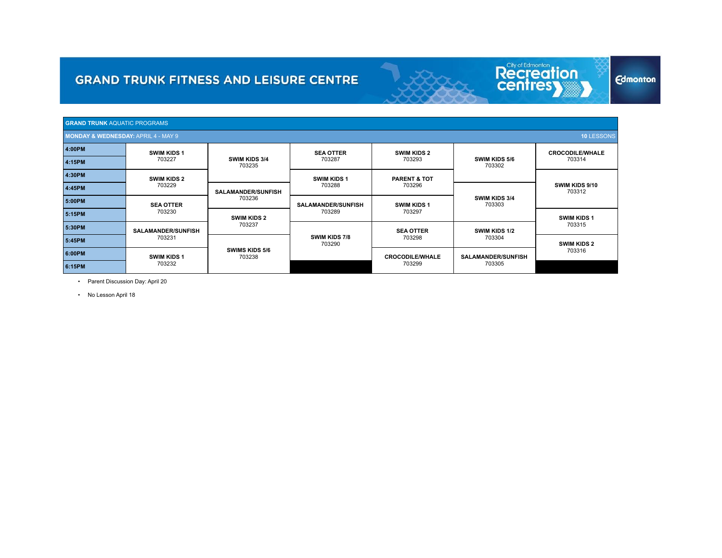| <b>GRAND TRUNK AQUATIC PROGRAMS</b>            |                                                                                 |                                |                           |                           |                                |                          |
|------------------------------------------------|---------------------------------------------------------------------------------|--------------------------------|---------------------------|---------------------------|--------------------------------|--------------------------|
| <b>MONDAY &amp; WEDNESDAY: APRIL 4 - MAY 9</b> |                                                                                 |                                |                           |                           |                                | 10 LESSONS               |
| 4:00PM                                         | <b>SWIM KIDS 1</b>                                                              |                                | <b>SEA OTTER</b>          | <b>SWIM KIDS 2</b>        |                                | <b>CROCODILE/WHALE</b>   |
| 4:15PM                                         | 703227                                                                          | <b>SWIM KIDS 3/4</b><br>703235 | 703287<br>703293          |                           | <b>SWIM KIDS 5/6</b><br>703302 | 703314                   |
| 4:30PM                                         | <b>SWIM KIDS 2</b>                                                              |                                | <b>SWIM KIDS 1</b>        | <b>PARENT &amp; TOT</b>   |                                |                          |
| 4:45PM                                         | 703229                                                                          | <b>SALAMANDER/SUNFISH</b>      | 703288<br>703296          |                           |                                | SWIM KIDS 9/10<br>703312 |
| 5:00PM                                         | <b>SEA OTTER</b>                                                                | 703236                         | <b>SALAMANDER/SUNFISH</b> | <b>SWIM KIDS 1</b>        | <b>SWIM KIDS 3/4</b><br>703303 |                          |
| 5:15PM                                         | 703230                                                                          | <b>SWIM KIDS 2</b>             | 703289                    | 703297                    |                                | <b>SWIM KIDS 1</b>       |
| 5:30PM                                         | <b>SALAMANDER/SUNFISH</b>                                                       | 703237                         |                           | <b>SEA OTTER</b>          | SWIM KIDS 1/2                  | 703315                   |
| 5:45PM                                         | 703231                                                                          |                                | SWIM KIDS 7/8<br>703290   | 703298                    |                                | <b>SWIM KIDS 2</b>       |
| 6:00PM                                         | <b>SWIMS KIDS 5/6</b><br>703238<br><b>SWIM KIDS 1</b><br><b>CROCODILE/WHALE</b> |                                |                           | <b>SALAMANDER/SUNFISH</b> | 703316                         |                          |
| 6:15PM                                         | 703232                                                                          |                                |                           | 703299                    | 703305                         |                          |

Recreation

**Edmonton** 

• Parent Discussion Day: April 20

• No Lesson April 18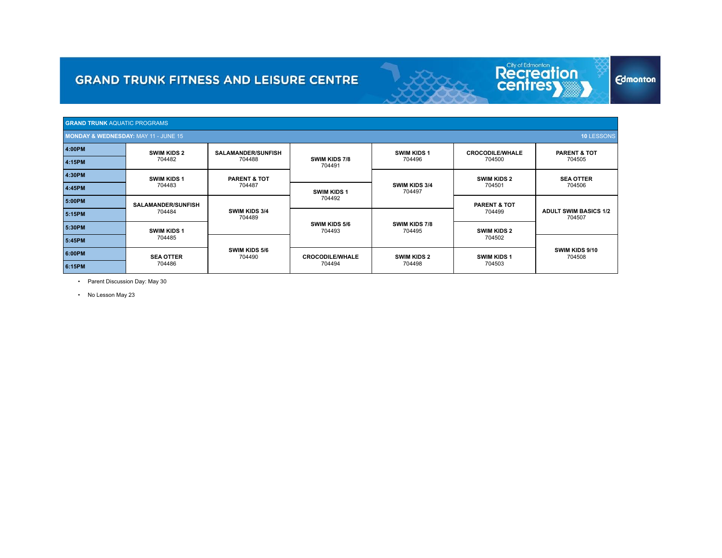| <b>GRAND TRUNK AQUATIC PROGRAMS</b>             |                           |                                |                         |                                |                         |                                        |
|-------------------------------------------------|---------------------------|--------------------------------|-------------------------|--------------------------------|-------------------------|----------------------------------------|
| <b>MONDAY &amp; WEDNESDAY: MAY 11 - JUNE 15</b> |                           |                                |                         |                                |                         | 10 LESSONS                             |
| 4:00PM                                          | <b>SWIM KIDS 2</b>        | <b>SALAMANDER/SUNFISH</b>      |                         | <b>SWIM KIDS 1</b>             | <b>CROCODILE/WHALE</b>  | <b>PARENT &amp; TOT</b>                |
| 4:15PM                                          | 704482                    | 704488                         | SWIM KIDS 7/8<br>704491 | 704496                         | 704500                  | 704505                                 |
| 4:30PM                                          | <b>SWIM KIDS 1</b>        | <b>PARENT &amp; TOT</b>        |                         |                                | <b>SWIM KIDS 2</b>      | <b>SEA OTTER</b><br>704506             |
| 4:45PM                                          | 704483                    | 704487                         | <b>SWIM KIDS 1</b>      | <b>SWIM KIDS 3/4</b><br>704497 | 704501                  |                                        |
| 5:00PM                                          | <b>SALAMANDER/SUNFISH</b> |                                | 704492                  |                                | <b>PARENT &amp; TOT</b> |                                        |
| 5:15PM                                          | 704484                    | <b>SWIM KIDS 3/4</b><br>704489 |                         |                                | 704499                  | <b>ADULT SWIM BASICS 1/2</b><br>704507 |
| 5:30PM                                          | <b>SWIM KIDS 1</b>        |                                | SWIM KIDS 5/6<br>704493 | <b>SWIM KIDS 7/8</b><br>704495 | <b>SWIM KIDS 2</b>      |                                        |
| 5:45PM                                          | 704485                    |                                |                         |                                | 704502                  |                                        |
| 6:00PM                                          | <b>SEA OTTER</b>          | <b>SWIM KIDS 5/6</b><br>704490 | <b>CROCODILE/WHALE</b>  | <b>SWIM KIDS 2</b>             | <b>SWIM KIDS 1</b>      | SWIM KIDS 9/10<br>704508               |
| 6:15PM                                          | 704486                    |                                | 704494                  | 704498                         | 704503                  |                                        |

Recreation

**Edmonton** 

• Parent Discussion Day: May 30

• No Lesson May 23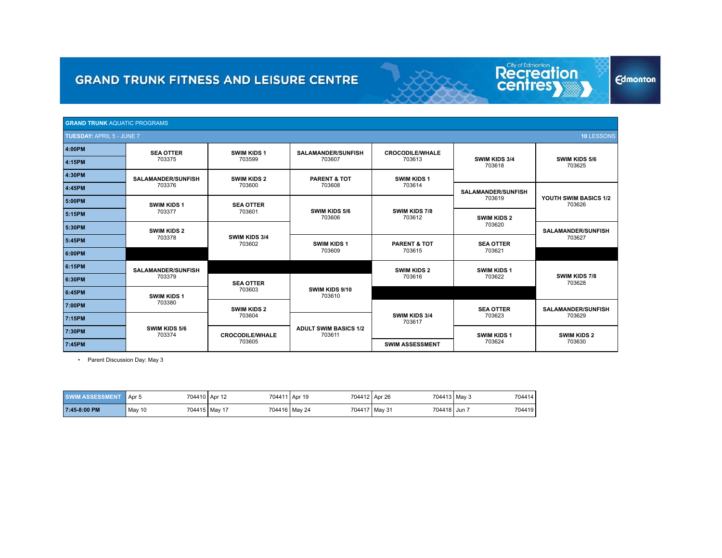| <b>GRAND TRUNK AQUATIC PROGRAMS</b> |                           |                         |                                        |                                   |                            |                                 |
|-------------------------------------|---------------------------|-------------------------|----------------------------------------|-----------------------------------|----------------------------|---------------------------------|
| <b>TUESDAY: APRIL 5 - JUNE 7</b>    |                           |                         |                                        |                                   |                            | <b>10 LESSONS</b>               |
| 4:00PM                              | <b>SEA OTTER</b>          | SWIM KIDS 1             | <b>SALAMANDER/SUNFISH</b>              | <b>CROCODILE/WHALE</b>            |                            |                                 |
| 4:15PM                              | 703375                    | 703599                  | 703607                                 | 703613                            | SWIM KIDS 3/4<br>703618    | SWIM KIDS 5/6<br>703625         |
| 4:30PM                              | <b>SALAMANDER/SUNFISH</b> | <b>SWIM KIDS 2</b>      | <b>PARENT &amp; TOT</b>                | <b>SWIM KIDS 1</b>                |                            |                                 |
| 4:45PM                              | 703376                    | 703600                  | 703608                                 | 703614                            | <b>SALAMANDER/SUNFISH</b>  |                                 |
| 5:00PM                              | <b>SWIM KIDS 1</b>        | <b>SEA OTTER</b>        |                                        |                                   |                            | YOUTH SWIM BASICS 1/2<br>703626 |
| 5:15PM                              | 703377                    | 703601                  | SWIM KIDS 5/6<br>703606                | SWIM KIDS 7/8<br>703612           | <b>SWIM KIDS 2</b>         |                                 |
| 5:30PM                              | <b>SWIM KIDS 2</b>        |                         |                                        |                                   | 703620                     | <b>SALAMANDER/SUNFISH</b>       |
| 5:45PM                              | 703378                    | SWIM KIDS 3/4<br>703602 | <b>SWIM KIDS 1</b><br>703609           | <b>PARENT &amp; TOT</b><br>703615 | <b>SEA OTTER</b><br>703621 | 703627                          |
| 6:00PM                              |                           |                         |                                        |                                   |                            |                                 |
| 6:15PM                              | <b>SALAMANDER/SUNFISH</b> |                         |                                        | <b>SWIM KIDS 2</b>                | SWIM KIDS 1                |                                 |
| 6:30PM                              | 703379                    | <b>SEA OTTER</b>        |                                        | 703616                            | 703622                     | SWIM KIDS 7/8<br>703628         |
| 6:45PM                              | <b>SWIM KIDS 1</b>        | 703603                  | SWIM KIDS 9/10<br>703610               |                                   |                            |                                 |
| 7:00PM                              | 703380                    | <b>SWIM KIDS 2</b>      |                                        |                                   | <b>SEA OTTER</b>           | <b>SALAMANDER/SUNFISH</b>       |
| 7:15PM                              |                           | 703604                  |                                        | SWIM KIDS 3/4<br>703617           | 703623                     | 703629                          |
| 7:30PM                              | SWIM KIDS 5/6<br>703374   | <b>CROCODILE/WHALE</b>  | <b>ADULT SWIM BASICS 1/2</b><br>703611 |                                   | <b>SWIM KIDS 1</b>         | <b>SWIM KIDS 2</b>              |
| 7:45PM                              |                           | 703605                  |                                        | <b>SWIM ASSESSMENT</b>            | 703624                     | 703630                          |

Recreation

**Edmonton** 

• Parent Discussion Day: May 3

| <b>SWIM ASSESSMENT</b> | Apr 5  | 704410 Apr 12   | 704411 Apr 19 | 704412 Apr 26                   | 704413   May 3<br>704414 |
|------------------------|--------|-----------------|---------------|---------------------------------|--------------------------|
| 7:45-8:00 PM           | May 10 | 704415   Mav 17 | 704416 May 24 | 704418   Jun 7<br>704417 May 31 | 704419                   |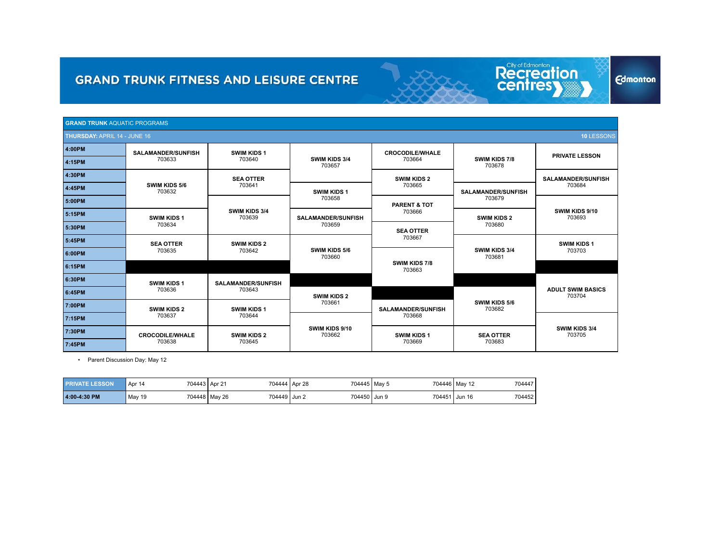| <b>GRAND TRUNK AQUATIC PROGRAMS</b> |                           |                           |                           |                           |                                |                                    |
|-------------------------------------|---------------------------|---------------------------|---------------------------|---------------------------|--------------------------------|------------------------------------|
| <b>THURSDAY: APRIL 14 - JUNE 16</b> |                           |                           |                           |                           |                                | 10 LESSONS                         |
| 4:00PM                              | <b>SALAMANDER/SUNFISH</b> | <b>SWIM KIDS 1</b>        |                           | <b>CROCODILE/WHALE</b>    |                                |                                    |
| 4:15PM                              | 703633                    | 703640                    | SWIM KIDS 3/4<br>703657   | 703664                    | <b>SWIM KIDS 7/8</b><br>703678 | <b>PRIVATE LESSON</b>              |
| 4:30PM                              |                           | <b>SEA OTTER</b>          |                           | <b>SWIM KIDS 2</b>        |                                | <b>SALAMANDER/SUNFISH</b>          |
| 4:45PM                              | SWIM KIDS 5/6<br>703632   | 703641                    | <b>SWIM KIDS 1</b>        | 703665                    | <b>SALAMANDER/SUNFISH</b>      | 703684                             |
| 5:00PM                              |                           |                           | 703658                    | <b>PARENT &amp; TOT</b>   | 703679                         |                                    |
| 5:15PM                              | <b>SWIM KIDS 1</b>        | SWIM KIDS 3/4<br>703639   | <b>SALAMANDER/SUNFISH</b> | 703666                    | <b>SWIM KIDS 2</b>             | SWIM KIDS 9/10<br>703693           |
| 5:30PM                              | 703634                    |                           | 703659                    | <b>SEA OTTER</b>          | 703680                         |                                    |
| 5:45PM                              | <b>SEA OTTER</b>          | <b>SWIM KIDS 2</b>        |                           | 703667                    | SWIM KIDS 3/4<br>703681        | <b>SWIM KIDS 1</b>                 |
| 6:00PM                              | 703635                    | 703642                    | SWIM KIDS 5/6<br>703660   |                           |                                | 703703                             |
| 6:15PM                              |                           |                           |                           | SWIM KIDS 7/8<br>703663   |                                |                                    |
| 6:30PM                              | <b>SWIM KIDS 1</b>        | <b>SALAMANDER/SUNFISH</b> |                           |                           |                                |                                    |
| 6:45PM                              | 703636                    | 703643                    | <b>SWIM KIDS 2</b>        |                           |                                | <b>ADULT SWIM BASICS</b><br>703704 |
| 7:00PM                              | <b>SWIM KIDS 2</b>        | <b>SWIM KIDS 1</b>        | 703661                    | <b>SALAMANDER/SUNFISH</b> | SWIM KIDS 5/6<br>703682        |                                    |
| 7:15PM                              | 703637                    | 703644                    |                           | 703668                    |                                | SWIM KIDS 3/4<br>703705            |
| 7:30PM                              | <b>CROCODILE/WHALE</b>    | <b>SWIM KIDS 2</b>        | SWIM KIDS 9/10<br>703662  | <b>SWIM KIDS 1</b>        | <b>SEA OTTER</b>               |                                    |
| 7:45PM                              | 703638                    | 703645                    |                           | 703669                    | 703683                         |                                    |

Recreation

**Edmonton** 

• Parent Discussion Day: May 12

| <b>PRIVATE LESSON</b> | 704443   Apr 21<br>Apr 14 |                               | 704444 Apr 28<br>704445   May 5 | 704446 May 12 | 704447           |
|-----------------------|---------------------------|-------------------------------|---------------------------------|---------------|------------------|
| 4:00-4:30 PM          | May 19                    | 704449 Jun 2<br>704448 May 26 | 704450 Jun 9                    | 704451,       | 704452<br>Jun 16 |